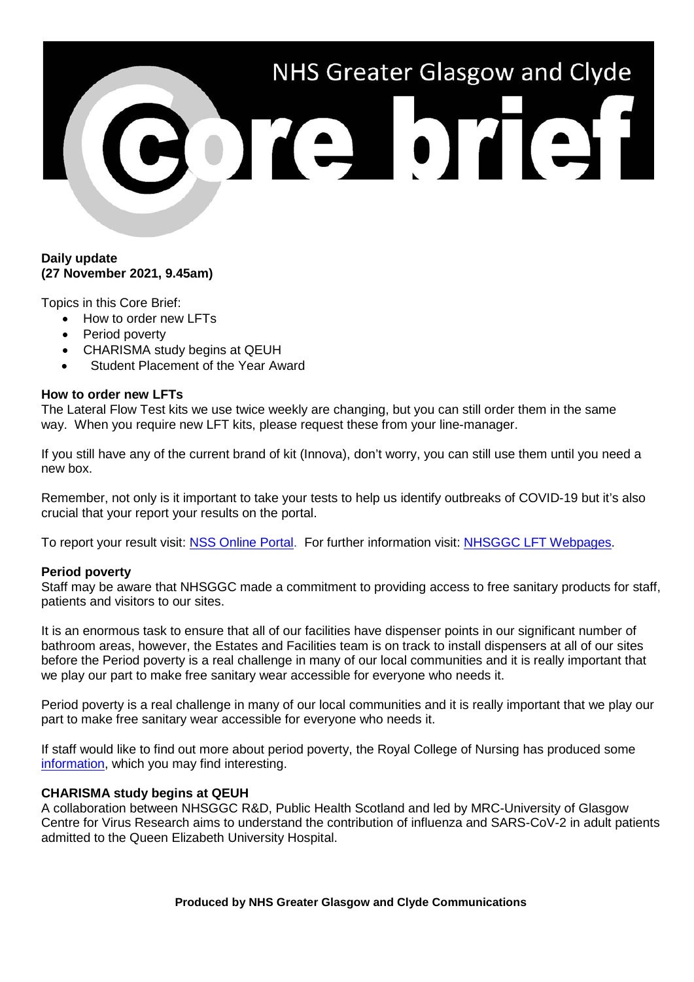# NHS Greater Glasgow and Clyde 301010101

# **Daily update (27 November 2021, 9.45am)**

Topics in this Core Brief:

- How to order new LFTs
- Period poverty
- CHARISMA study begins at QEUH
- Student Placement of the Year Award

# **How to order new LFTs**

The Lateral Flow Test kits we use twice weekly are changing, but you can still order them in the same way. When you require new LFT kits, please request these from your line-manager.

If you still have any of the current brand of kit (Innova), don't worry, you can still use them until you need a new box.

Remember, not only is it important to take your tests to help us identify outbreaks of COVID-19 but it's also crucial that your report your results on the portal.

To report your result visit: [NSS Online Portal.](https://nhsnss.service-now.com/covidtesting) For further information visit: [NHSGGC LFT Webpages.](https://www.nhsggc.org.uk/your-health/health-issues/covid-19-coronavirus/covid-19-info-for-nhsggc-staff/lateral-flow-device-testing-guidance/)

# **Period poverty**

Staff may be aware that NHSGGC made a commitment to providing access to free sanitary products for staff, patients and visitors to our sites.

It is an enormous task to ensure that all of our facilities have dispenser points in our significant number of bathroom areas, however, the Estates and Facilities team is on track to install dispensers at all of our sites before the Period poverty is a real challenge in many of our local communities and it is really important that we play our part to make free sanitary wear accessible for everyone who needs it.

Period poverty is a real challenge in many of our local communities and it is really important that we play our part to make free sanitary wear accessible for everyone who needs it.

If staff would like to find out more about period poverty, the Royal College of Nursing has produced some [information,](https://www.rcn.org.uk/clinical-topics/womens-health/promoting-menstrual-wellbeing/period-poverty) which you may find interesting.

# **CHARISMA study begins at QEUH**

A collaboration between NHSGGC R&D, Public Health Scotland and led by MRC-University of Glasgow Centre for Virus Research aims to understand the contribution of influenza and SARS-CoV-2 in adult patients admitted to the Queen Elizabeth University Hospital.